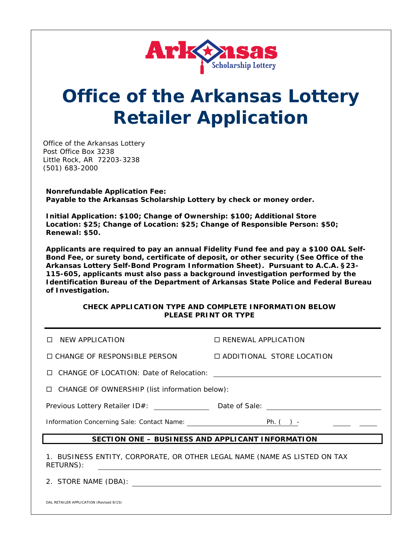

# **Office of the Arkansas Lottery Retailer Application**

Office of the Arkansas Lottery Post Office Box 3238 Little Rock, AR 72203-3238 (501) 683-2000

**Nonrefundable Application Fee: Payable to the** *Arkansas Scholarship Lottery* **by check or money order.** 

**Initial Application: \$100; Change of Ownership: \$100; Additional Store Location: \$25; Change of Location: \$25; Change of Responsible Person: \$50; Renewal: \$50.**

**Applicants are required to pay an annual Fidelity Fund fee and pay a \$100 OAL Self-Bond Fee, or surety bond, certificate of deposit, or other security (***See* **Office of the Arkansas Lottery Self-Bond Program Information Sheet). Pursuant to A.C.A. §23- 115-605, applicants must also pass a background investigation performed by the Identification Bureau of the Department of Arkansas State Police and Federal Bureau of Investigation.** 

#### **CHECK APPLICATION TYPE AND COMPLETE INFORMATION BELOW PLEASE PRINT OR TYPE**

| NEW APPLICATION                                                                                                                                                                                                | $\Box$ RENEWAL APPLICATION  |
|----------------------------------------------------------------------------------------------------------------------------------------------------------------------------------------------------------------|-----------------------------|
| $\square$ CHANGE OF RESPONSIBLE PERSON                                                                                                                                                                         | □ ADDITIONAL STORE LOCATION |
|                                                                                                                                                                                                                |                             |
| $\Box$ CHANGE OF OWNERSHIP (list information below):                                                                                                                                                           |                             |
| Previous Lottery Retailer ID#: _____________________________Date of Sale: __________________________                                                                                                           |                             |
|                                                                                                                                                                                                                |                             |
| Information Concerning Sale: Contact Name:                                                                                                                                                                     | Ph. $( )$ -                 |
| SECTION ONE - BUSINESS AND APPLICANT INFORMATION                                                                                                                                                               |                             |
| 1. BUSINESS ENTITY, CORPORATE, OR OTHER LEGAL NAME (NAME AS LISTED ON TAX<br>RETURNS):<br><u> 1989 - Johann Harry Barn, mars ar breist fan de Amerikaansk kommunent fan de Amerikaanske kommunent fan de A</u> |                             |

OAL RETAILER APPLICATION (Revised 9/15)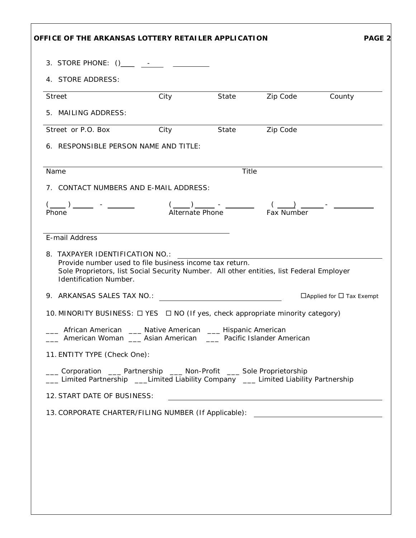| 3. STORE PHONE: () ____ ___ ___ ________                                                                                                                                                                                |                  |                                          |                                                               |                                      |  |
|-------------------------------------------------------------------------------------------------------------------------------------------------------------------------------------------------------------------------|------------------|------------------------------------------|---------------------------------------------------------------|--------------------------------------|--|
| 4. STORE ADDRESS:                                                                                                                                                                                                       |                  |                                          |                                                               |                                      |  |
| Street                                                                                                                                                                                                                  | City             |                                          | State Zip Code                                                | County                               |  |
| 5. MAILING ADDRESS:                                                                                                                                                                                                     |                  |                                          |                                                               |                                      |  |
| Street or P.O. Box                                                                                                                                                                                                      | <b>City City</b> |                                          | State <b>Zip Code</b>                                         |                                      |  |
| 6. RESPONSIBLE PERSON NAME AND TITLE:                                                                                                                                                                                   |                  |                                          |                                                               |                                      |  |
| Name                                                                                                                                                                                                                    | Title            |                                          |                                                               |                                      |  |
| 7. CONTACT NUMBERS AND E-MAIL ADDRESS:                                                                                                                                                                                  |                  |                                          |                                                               |                                      |  |
|                                                                                                                                                                                                                         |                  |                                          |                                                               |                                      |  |
| Phone                                                                                                                                                                                                                   |                  |                                          |                                                               |                                      |  |
| Provide number used to file business income tax return.<br>Sole Proprietors, list Social Security Number. All other entities, list Federal Employer                                                                     |                  |                                          | <u> 1989 - Andrea Stadt British, fransk politik (d. 1989)</u> |                                      |  |
| Identification Number.                                                                                                                                                                                                  |                  |                                          |                                                               |                                      |  |
| 8. TAXPAYER IDENTIFICATION NO.:<br>10. MINORITY BUSINESS: $\Box$ YES $\Box$ NO (If yes, check appropriate minority category)<br>African American<br>___ American Woman ___ Asian American ___ Pacific Islander American |                  | Native American ______ Hispanic American |                                                               |                                      |  |
| 11. ENTITY TYPE (Check One):                                                                                                                                                                                            |                  |                                          |                                                               |                                      |  |
| ___ Corporation ____ Partnership ____ Non-Profit ____ Sole Proprietorship<br>__ Limited Partnership ___Limited Liability Company __ Limited Liability Partnership                                                       |                  |                                          |                                                               |                                      |  |
| 12. START DATE OF BUSINESS:                                                                                                                                                                                             |                  |                                          |                                                               |                                      |  |
| 13. CORPORATE CHARTER/FILING NUMBER (If Applicable): ___________________________                                                                                                                                        |                  |                                          |                                                               |                                      |  |
|                                                                                                                                                                                                                         |                  |                                          |                                                               | $\Box$ Applied for $\Box$ Tax Exempt |  |
|                                                                                                                                                                                                                         |                  |                                          |                                                               |                                      |  |
|                                                                                                                                                                                                                         |                  |                                          |                                                               |                                      |  |
|                                                                                                                                                                                                                         |                  |                                          |                                                               |                                      |  |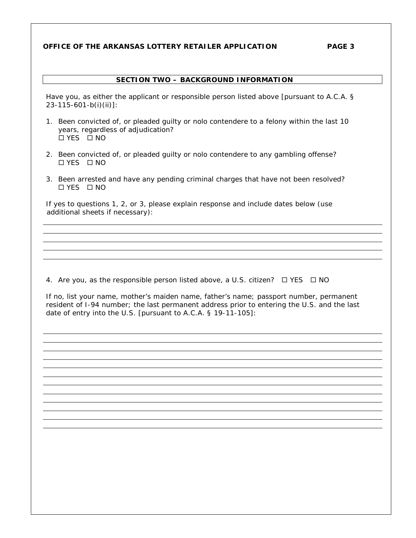## **OFFICE OF THE ARKANSAS LOTTERY RETAILER APPLICATION PAGE 3**

## **SECTION TWO – BACKGROUND INFORMATION**

Have you, as either the applicant or responsible person listed above [pursuant to A.C.A. § 23-115-601-b(i)(ii)]*:*

- 1. Been convicted of, or pleaded guilty or nolo contendere to a felony within the last 10 years, regardless of adjudication? YES NO
- 2. Been convicted of, or pleaded guilty or nolo contendere to any gambling offense? YES NO
- 3. Been arrested and have any pending criminal charges that have not been resolved? YES NO

If yes to questions 1, 2, or 3, please explain response and include dates below (use additional sheets if necessary):

4. Are you, as the responsible person listed above, a U.S. citizen?  $\Box$  YES  $\Box$  NO

If no, list your name, mother's maiden name, father's name; passport number, permanent resident of I-94 number; the last permanent address prior to entering the U.S. and the last date of entry into the U.S. [pursuant to A.C.A. § 19-11-105]: